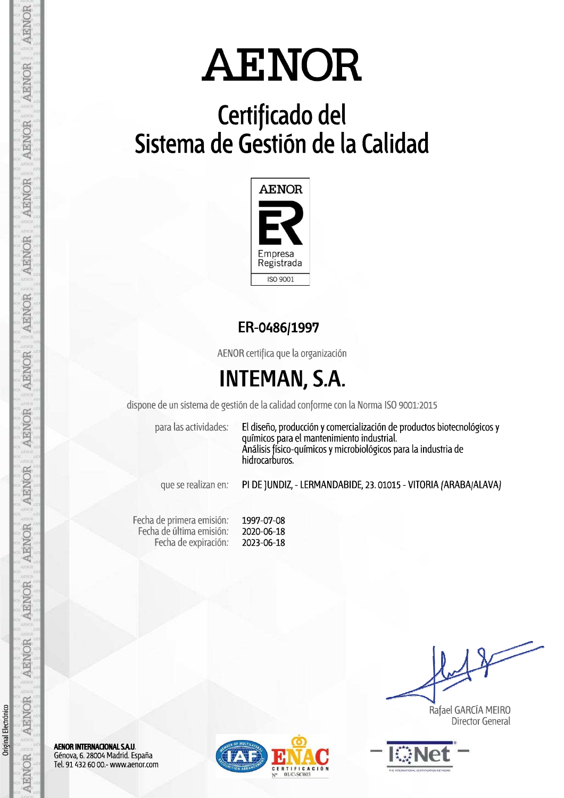# Certificado del<br>Sistema de Gestión de la Calidad



### ER-0486/1997

AENOR certifica que la organización

### **INTEMAN, S.A.**

dispone de un sistema de gestión de la calidad conforme con la Norma ISO 9001.2015

para las actividades:

El diseño, producción y comercialización de productos biotecnológicos y químicos para el mantenimiento industrial. Análisis físico-químicos y microbiológicos para la industria de hidrocarburos.

que se realizan en:

PI DE JUNDIZ, - LERMANDABIDE, 23. 01015 - VITORIA (ARABA/ALAVA)

Fecha de primera emisión: 1997-07-08 Fecha de última emisión: 2020-06-18 Fecha de expiración: 2023-06-18

Rafael GARCÍA MEIRO **Director General** 



AENOR INTERNACIONAL S.A.U. Génova, 6. 28004 Madrid. España Tel. 91 432 60 00.- www.aenor.com



Original Electrónico